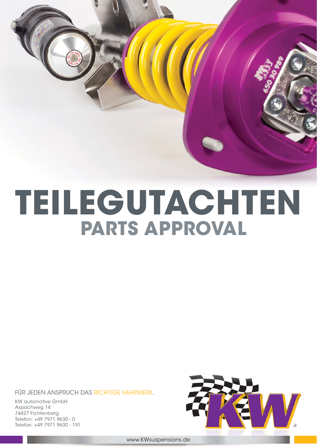

# **TEILEGUTACHTEN PARTS APPROVAL**

FÜR JEDEN ANSPRUCH DAS RICHTIGE FAHRWERK.

KW automotive GmbH Aspachweg 14 74427 Fichtenberg Telefon: +49 7971 9630 - 0 Telefax: +49 7971 9630 - 191



www.KWsuspensions.de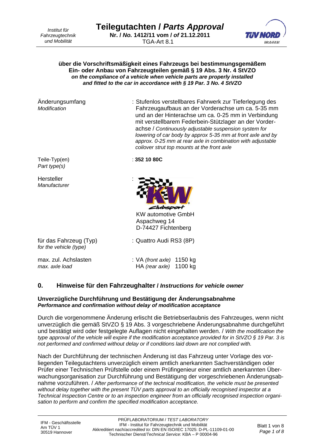*Institut für Fahrzeugtechnik und Mobilität*



#### **über die Vorschriftsmäßigkeit eines Fahrzeugs bei bestimmungsgemäßem Ein- oder Anbau von Fahrzeugteilen gemäß § 19 Abs. 3 Nr. 4 StVZO**  *on the compliance of a vehicle when vehicle parts are properly installed and fitted to the car in accordance with § 19 Par. 3 No. 4 StVZO*

Änderungsumfang : Stufenlos verstellbares Fahrwerk zur Tieferlegung des *Modification* Fahrzeugaufbaus an der Vorderachse um ca. 5-35 mm und an der Hinterachse um ca. 0-25 mm in Verbindung mit verstellbarem Federbein-Stützlager an der Vorderachse / *Continuously adjustable suspension system for lowering of car body by approx 5-35 mm at front axle and by approx. 0-25 mm at rear axle in combination with adjustable coilover strut top mounts at the front axle*  Teile-Typ(en) : **352 10 80C** *Part type(s)*

**Hersteller** *Manufacturer*



KW automotive GmbH Aspachweg 14 D-74427 Fichtenberg

für das Fahrzeug (Typ) : Quattro Audi RS3 (8P) *for the vehicle (type)*

max. zul. Achslasten : VA *(front axle)* 1150 kg *max. axle load* HA *(rear axle)* 1100 kg

# **0. Hinweise für den Fahrzeughalter /** *Instructions for vehicle owner*

#### **Unverzügliche Durchführung und Bestätigung der Änderungsabnahme**  *Performance and confirmation without delay of modification acceptance*

Durch die vorgenommene Änderung erlischt die Betriebserlaubnis des Fahrzeuges, wenn nicht unverzüglich die gemäß StVZO § 19 Abs. 3 vorgeschriebene Änderungsabnahme durchgeführt und bestätigt wird oder festgelegte Auflagen nicht eingehalten werden. / *With the modification the type approval of the vehicle will expire if the modification acceptance provided for in StVZO § 19 Par. 3 is not performed and confirmed without delay or if conditions laid down are not complied with.* 

Nach der Durchführung der technischen Änderung ist das Fahrzeug unter Vorlage des vorliegenden Teilegutachtens unverzüglich einem amtlich anerkannten Sachverständigen oder Prüfer einer Technischen Prüfstelle oder einem Prüfingenieur einer amtlich anerkannten Überwachungsorganisation zur Durchführung und Bestätigung der vorgeschriebenen Änderungsabnahme vorzuführen. / *After performance of the technical modification, the vehicle must be presented without delay together with the present TÜV parts approval to an officially recognised inspector at a Technical Inspection Centre or to an inspection engineer from an officially recognised inspection organisation to perform and confirm the specified modification acceptance.*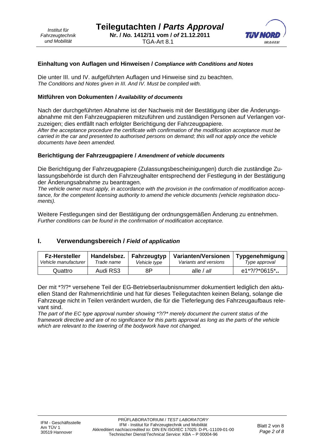

#### **Einhaltung von Auflagen und Hinweisen /** *Compliance with Conditions and Notes*

Die unter III. und IV. aufgeführten Auflagen und Hinweise sind zu beachten. *The Conditions and Notes given in III. And IV. Must be complied with.* 

#### **Mitführen von Dokumenten /** *Availability of documents*

Nach der durchgeführten Abnahme ist der Nachweis mit der Bestätigung über die Änderungsabnahme mit den Fahrzeugpapieren mitzuführen und zuständigen Personen auf Verlangen vorzuzeigen; dies entfällt nach erfolgter Berichtigung der Fahrzeugpapiere.

*After the acceptance procedure the certificate with confirmation of the modification acceptance must be carried in the car and presented to authorised persons on demand; this will not apply once the vehicle documents have been amended.* 

#### **Berichtigung der Fahrzeugpapiere /** *Amendment of vehicle documents*

Die Berichtigung der Fahrzeugpapiere (Zulassungsbescheinigungen) durch die zuständige Zulassungsbehörde ist durch den Fahrzeughalter entsprechend der Festlegung in der Bestätigung der Änderungsabnahme zu beantragen.

*The vehicle owner must apply, in accordance with the provision in the confirmation of modification acceptance, for the competent licensing authority to amend the vehicle documents (vehicle registration documents).* 

Weitere Festlegungen sind der Bestätigung der ordnungsgemäßen Änderung zu entnehmen. *Further conditions can be found in the confirmation of modification acceptance.* 

# **I. Verwendungsbereich /** *Field of application*

| <b>Fz-Hersteller</b> | Handelsbez. | Fahrzeugtyp  | Varianten/Versionen   | Typgenehmigung       |
|----------------------|-------------|--------------|-----------------------|----------------------|
| Vehicle manufacturer | Trade name  | Vehicle type | Variants and versions | Type approval        |
| Quattro              | Audi RS3    | 8P           | alle / all            | $e1*?\frac{?}{0615}$ |

Der mit \*?/?\* versehene Teil der EG-Betriebserlaubnisnummer dokumentiert lediglich den aktuellen Stand der Rahmenrichtlinie und hat für dieses Teilegutachten keinen Belang, solange die Fahrzeuge nicht in Teilen verändert wurden, die für die Tieferlegung des Fahrzeugaufbaus relevant sind.

*The part of the EC type approval number showing \*?/?\* merely document the current status of the framework directive and are of no significance for this parts approval as long as the parts of the vehicle which are relevant to the lowering of the bodywork have not changed.*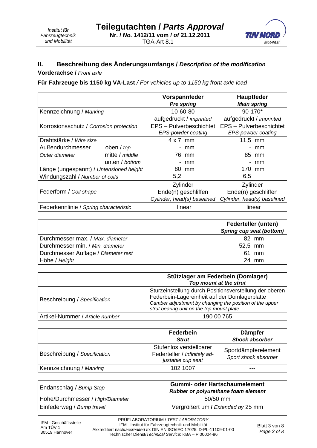

# **II. Beschreibung des Änderungsumfangs /** *Description of the modification*

## **Vorderachse /** *Front axle*

**Für Fahrzeuge bis 1150 kg VA-Last** */ For vehicles up to 1150 kg front axle load* 

|                                         |                | Vorspannfeder<br><b>Pre spring</b>                         | Hauptfeder<br><b>Main spring</b> |  |
|-----------------------------------------|----------------|------------------------------------------------------------|----------------------------------|--|
| Kennzeichnung / Marking                 |                | 10-60-80                                                   | 90-170*                          |  |
|                                         |                | aufgedruckt / imprinted                                    | aufgedruckt / imprinted          |  |
| Korrosionsschutz / Corrosion protection |                | EPS - Pulverbeschichtet                                    | EPS - Pulverbeschichtet          |  |
|                                         |                | EPS-powder coating                                         | EPS-powder coating               |  |
| Drahtstärke / Wire size                 |                | $4 \times 7$ mm                                            | 11,5 mm                          |  |
| Außendurchmesser                        | oben / top     | mm                                                         | mm                               |  |
| Outer diameter                          | mitte / middle | 76 mm                                                      | 85 mm                            |  |
|                                         | unten / bottom | mm                                                         | mm<br>$\overline{\phantom{a}}$   |  |
| Länge (ungespannt) / Untensioned height |                | 80 mm                                                      | 170 mm                           |  |
| Windungszahl / Number of coils          |                | 5,2                                                        | 6,5                              |  |
|                                         |                | Zylinder                                                   | Zylinder                         |  |
| Federform / Coil shape                  |                | Ende(n) geschliffen                                        | Ende(n) geschliffen              |  |
|                                         |                | Cylinder, head(s) baselined<br>Cylinder, head(s) baselined |                                  |  |
| Federkennlinie / Spring characteristic  |                | linear                                                     | linear                           |  |

|                                     | <b>Federteller (unten)</b><br>Spring cup seat (bottom) |
|-------------------------------------|--------------------------------------------------------|
| Durchmesser max. / Max. diameter    | 82 mm                                                  |
| Durchmesser min. / Min. diameter    | 52,5 mm                                                |
| Durchmesser Auflage / Diameter rest | 61 mm                                                  |
| Höhe / Height                       | 24 mm                                                  |

|                                 | Stützlager am Federbein (Domlager)<br>Top mount at the strut                                                                                                                                                    |
|---------------------------------|-----------------------------------------------------------------------------------------------------------------------------------------------------------------------------------------------------------------|
| Beschreibung / Specification    | Sturzeinstellung durch Positionsverstellung der oberen<br>Federbein-Lagereinheit auf der Domlagerplatte<br>Camber adjustment by changing the position of the upper<br>strut bearing unit on the top mount plate |
| Artikel-Nummer / Article number | 190 00 765                                                                                                                                                                                                      |

|                              | Federbein<br><b>Strut</b>                                                    | <b>Dämpfer</b><br><b>Shock absorber</b>     |
|------------------------------|------------------------------------------------------------------------------|---------------------------------------------|
| Beschreibung / Specification | Stufenlos verstellbarer<br>Federteller / Infinitely ad-<br>justable cup seat | Sportdämpferelement<br>Sport shock absorber |
| Kennzeichnung / Marking      | 102 1007                                                                     | ---                                         |

| Endanschlag / Bump Stop          | <b>Gummi- oder Hartschaumelement</b><br>Rubber or polyurethane foam element |  |
|----------------------------------|-----------------------------------------------------------------------------|--|
| Höhe/Durchmesser / High/Diameter | $50/50$ mm                                                                  |  |
| Einfederweg / Bump travel        | Vergrößert um / Extended by 25 mm                                           |  |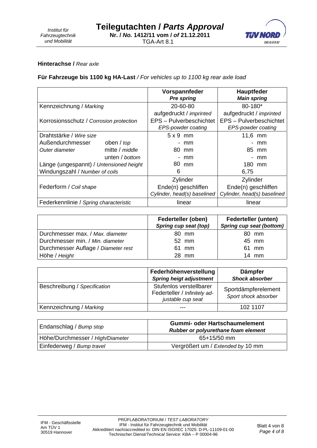

#### **Hinterachse /** *Rear axle*

## **Für Fahrzeuge bis 1100 kg HA-Last** */ For vehicles up to 1100 kg rear axle load*

|                                         |                | Vorspannfeder                                              | <b>Hauptfeder</b>       |
|-----------------------------------------|----------------|------------------------------------------------------------|-------------------------|
|                                         |                | <b>Pre spring</b>                                          | <b>Main spring</b>      |
| Kennzeichnung / Marking                 |                | 20-60-80                                                   | 80-180*                 |
|                                         |                | aufgedruckt / imprinted                                    | aufgedruckt / imprinted |
| Korrosionsschutz / Corrosion protection |                | EPS - Pulverbeschichtet                                    | EPS - Pulverbeschichtet |
|                                         |                | EPS-powder coating                                         | EPS-powder coating      |
| Drahtstärke / Wire size                 |                | $5 \times 9$ mm                                            | 11,6 mm                 |
| Außendurchmesser                        | oben / top     | mm<br>۰.                                                   | mm                      |
| Outer diameter                          | mitte / middle | 80 mm                                                      | 85 mm                   |
|                                         | unten / bottom | mm                                                         | mm                      |
| Länge (ungespannt) / Untensioned height |                | 80 mm                                                      | 180 mm                  |
| Windungszahl / Number of coils          |                | 6                                                          | 6,75                    |
|                                         |                | Zylinder                                                   | Zylinder                |
| Federform / Coil shape                  |                | Ende(n) geschliffen<br>Ende(n) geschliffen                 |                         |
|                                         |                | Cylinder, head(s) baselined<br>Cylinder, head(s) baselined |                         |
| Federkennlinie / Spring characteristic  |                | linear                                                     | linear                  |

|                                     | Federteller (oben)<br>Spring cup seat (top) | <b>Federteller (unten)</b><br>Spring cup seat (bottom) |
|-------------------------------------|---------------------------------------------|--------------------------------------------------------|
| Durchmesser max. / Max. diameter    | 80 mm                                       | 80 mm                                                  |
| Durchmesser min. / Min. diameter    | 52 mm                                       | 45 mm                                                  |
| Durchmesser Auflage / Diameter rest | 61 mm                                       | 61 mm                                                  |
| Höhe / Height                       | 28 mm                                       | $14$ mm                                                |

|                              | Federhöhenverstellung<br><b>Spring heigt adjustment</b>                      | <b>Dämpfer</b><br><b>Shock absorber</b>     |
|------------------------------|------------------------------------------------------------------------------|---------------------------------------------|
| Beschreibung / Specification | Stufenlos verstellbarer<br>Federteller / Infinitely ad-<br>justable cup seat | Sportdämpferelement<br>Sport shock absorber |
| Kennzeichnung / Marking      |                                                                              | 102 1107                                    |

| Endanschlag / Bump stop          | <b>Gummi- oder Hartschaumelement</b><br>Rubber or polyurethane foam element |  |
|----------------------------------|-----------------------------------------------------------------------------|--|
| Höhe/Durchmesser / High/Diameter | $65+15/50$ mm                                                               |  |
| Einfederweg / Bump travel        | Vergrößert um / Extended by 10 mm                                           |  |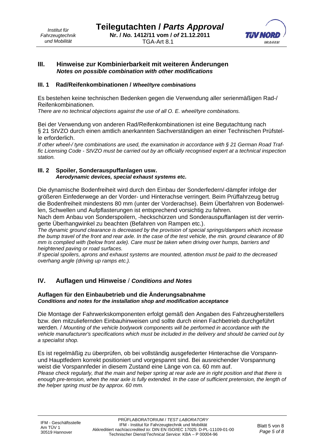

## **III. Hinweise zur Kombinierbarkeit mit weiteren Änderungen**  *Notes on possible combination with other modifications*

#### **III. 1 Rad/Reifenkombinationen /** *Wheel/tyre combinations*

Es bestehen keine technischen Bedenken gegen die Verwendung aller serienmäßigen Rad-/ Reifenkombinationen.

*There are no technical objections against the use of all O. E. wheel/tyre combinations.*

Bei der Verwendung von anderen Rad/Reifenkombinationen ist eine Begutachtung nach § 21 StVZO durch einen amtlich anerkannten Sachverständigen an einer Technischen Prüfstelle erforderlich.

*If other wheel-/ tyre combinations are used, the examination in accordance with § 21 German Road Traffic Licensing Code - StVZO must be carried out by an officially recognised expert at a technical inspection station.* 

#### **III. 2 Spoiler, Sonderauspuffanlagen usw.**  *Aerodynamic devices, special exhaust systems etc.*

Die dynamische Bodenfreiheit wird durch den Einbau der Sonderfedern/-dämpfer infolge der größeren Einfederwege an der Vorder- und Hinterachse verringert. Beim Prüffahrzeug betrug die Bodenfreiheit mindestens 80 mm (unter der Vorderachse). Beim Überfahren von Bodenwellen, Schwellen und Aufpflasterungen ist entsprechend vorsichtig zu fahren.

Nach dem Anbau von Sonderspoilern, -heckschürzen und Sonderauspuffanlagen ist der verringerte Überhangwinkel zu beachten (Befahren von Rampen etc.).

*The dynamic ground clearance is decreased by the provision of special springs/dampers which increase the bump travel of the front and rear axle. In the case of the test vehicle, the min. ground clearance of 80 mm is complied with (below front axle). Care must be taken when driving over humps, barriers and heightened paving or road surfaces.* 

*If special spoilers, aprons and exhaust systems are mounted, attention must be paid to the decreased overhang angle (driving up ramps etc.).*

# **IV. Auflagen und Hinweise** / *Conditions and Notes*

#### **Auflagen für den Einbaubetrieb und die Änderungsabnahme**  *Conditions and notes for the installation shop and modification acceptance*

Die Montage der Fahrwerkskomponenten erfolgt gemäß den Angaben des Fahrzeugherstellers bzw. den mitzuliefernden Einbauhinweisen und sollte durch einen Fachbetrieb durchgeführt werden. / *Mounting of the vehicle bodywork components will be performed in accordance with the vehicle manufacturer's specifications which must be included in the delivery and should be carried out by a specialist shop.*

Es ist regelmäßig zu überprüfen, ob bei vollständig ausgefederter Hinterachse die Vorspannund Hauptfedern korrekt positioniert und vorgespannt sind. Bei ausreichender Vorspannung weist die Vorspannfeder in diesem Zustand eine Länge von ca. 60 mm auf. *Please check regularly, that the main and helper spring at rear axle are in right position and that there is*  enough pre-tension, when the rear axle is fully extended. In the case of sufficient pretension, the length of *the helper spring must be by approx. 60 mm.*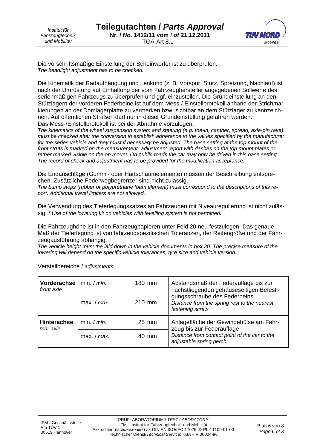*Institut für Fahrzeugtechnik und Mobilität*



Die vorschriftsmäßige Einstellung der Scheinwerfer ist zu überprüfen. *The headlight adjustment has to be checked.* 

Die Kinematik der Radaufhängung und Lenkung (z. B. Vorspur, Sturz, Spreizung, Nachlauf) ist nach der Umrüstung auf Einhaltung der vom Fahrzeughersteller angegebenen Sollwerte des serienmäßigen Fahrzeugs zu überprüfen und ggf. einzustellen. Die Grundeinstellung an den Stützlagern der vorderen Federbeine ist auf dem Mess-/ Einstellprotokoll anhand der Strichmarkierungen an der Domlagerplatte zu vermerken bzw. sichtbar an dem Stützlager zu kennzeichnen. Auf öffentlichen Straßen darf nur in dieser Grundeinstellung gefahren werden. Das Mess-/Einstellprotokoll ist bei der Abnahme vorzulegen.

*The kinematics of the wheel suspension system and steering (e.g. toe-in, camber, spread, axle-pin rake) must be checked after the conversion to establish adherence to the values specified by the manufacturer*  for the series vehicle and they must if necessary be adjusted. The base setting at the top mount of the *front struts is marked on the measurement- adjustment report with dashes on the top mount plates or rather marked visible on the op mount. On public roads the car may only be driven in this base setting. The record of check and adjustment has to be provided for the modification acceptance.* 

Die Endanschläge (Gummi- oder Hartschaumelemente) müssen der Beschreibung entsprechen. Zusätzliche Federwegbegrenzer sind nicht zulässig.

*The bump stops (rubber or polyurethane foam element) must correspond to the descriptions of this report. Additional travel limiters are not allowed.* 

Die Verwendung des Tieferlegungssatzes an Fahrzeugen mit Niveauregulierung ist nicht zulässig. / *Use of the lowering kit on vehicles with levelling system is not permitted.* 

Die Fahrzeughöhe ist in den Fahrzeugpapieren unter Feld 20 neu festzulegen. Das genaue Maß der Tieferlegung ist von fahrzeugspezifischen Toleranzen, der Reifengröße und der Fahrzeugausführung abhängig.

*The vehicle height must the laid down in the vehicle documents in box 20. The precise measure of the lowering will depend on the specific vehicle tolerances, tyre size and vehicle version.* 

| Vorderachse<br>front axle       | min. $/min$ . | 180 mm                                                                   | Abstandsmaß der Federauflage bis zur<br>nächstliegenden gehäuseseitigen Befesti-                |  |
|---------------------------------|---------------|--------------------------------------------------------------------------|-------------------------------------------------------------------------------------------------|--|
|                                 | max. $/max$ . | 210 mm                                                                   | gungsschraube des Federbeins<br>Distance from the spring rest to the nearest<br>fastening screw |  |
| <b>Hinterachse</b><br>rear axle | min. / min.   | $25 \text{ mm}$                                                          | Anlagefläche der Gewindehülse am Fahr-<br>zeug bis zur Federauflage                             |  |
| max. $/max$ .                   | 40 mm         | Distance from contact point of the car to the<br>adjustable spring perch |                                                                                                 |  |

Verstellbereiche / *adjustments*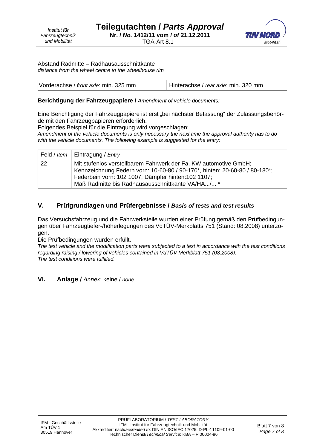

Abstand Radmitte – Radhausausschnittkante *distance from the wheel centre to the wheelhouse rim* 

### **Berichtigung der Fahrzeugpapiere /** *Amendment of vehicle documents:*

Eine Berichtigung der Fahrzeugpapiere ist erst "bei nächster Befassung" der Zulassungsbehörde mit den Fahrzeugpapieren erforderlich.

Folgendes Beispiel für die Eintragung wird vorgeschlagen:

*Amendment of the vehicle documents is only necessary the next time the approval authority has to do with the vehicle documents. The following example is suggested for the entry:* 

|             | Feld / Item   Eintragung / Entry                                                                                                                                                                                                                          |
|-------------|-----------------------------------------------------------------------------------------------------------------------------------------------------------------------------------------------------------------------------------------------------------|
| $\sqrt{22}$ | Mit stufenlos verstellbarem Fahrwerk der Fa. KW automotive GmbH;<br>Kennzeichnung Federn vorn: 10-60-80 / 90-170*, hinten: 20-60-80 / 80-180*;<br>Federbein vorn: 102 1007, Dämpfer hinten: 102 1107;<br>Maß Radmitte bis Radhausausschnittkante VA/HA/ * |

# **V. Prüfgrundlagen und Prüfergebnisse /** *Basis of tests and test results*

Das Versuchsfahrzeug und die Fahrwerksteile wurden einer Prüfung gemäß den Prüfbedingungen über Fahrzeugtiefer-/höherlegungen des VdTÜV-Merkblatts 751 (Stand: 08.2008) unterzogen.

Die Prüfbedingungen wurden erfüllt.

*The test vehicle and the modification parts were subjected to a test in accordance with the test conditions regarding raising / lowering of vehicles contained in VdTÜV Merkblatt 751 (08.2008). The test conditions were fulfilled.* 

# **VI. Anlage /** *Annex*: keine / *none*